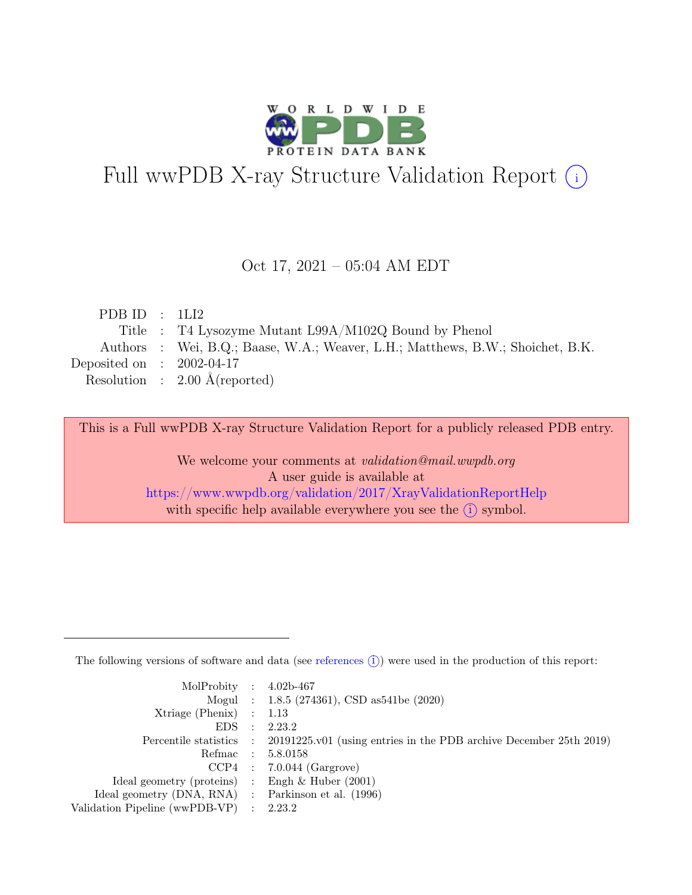

# Full wwPDB X-ray Structure Validation Report  $(i)$

#### Oct 17, 2021 – 05:04 AM EDT

| PDB ID : $1LI2$                                                                |
|--------------------------------------------------------------------------------|
| Title : T4 Lysozyme Mutant L99A/M102Q Bound by Phenol                          |
| Authors : Wei, B.Q.; Baase, W.A.; Weaver, L.H.; Matthews, B.W.; Shoichet, B.K. |
| Deposited on : $2002-04-17$                                                    |
| Resolution : $2.00 \text{ Å}$ (reported)                                       |
|                                                                                |

This is a Full wwPDB X-ray Structure Validation Report for a publicly released PDB entry.

We welcome your comments at validation@mail.wwpdb.org A user guide is available at <https://www.wwpdb.org/validation/2017/XrayValidationReportHelp> with specific help available everywhere you see the  $(i)$  symbol.

The following versions of software and data (see [references](https://www.wwpdb.org/validation/2017/XrayValidationReportHelp#references)  $(i)$ ) were used in the production of this report:

| MolProbity : $4.02b-467$                            |                                                                                            |
|-----------------------------------------------------|--------------------------------------------------------------------------------------------|
|                                                     | Mogul : 1.8.5 (274361), CSD as 541be (2020)                                                |
| $Xtriangle (Phenix)$ : 1.13                         |                                                                                            |
| $EDS$ :                                             | 2.23.2                                                                                     |
|                                                     | Percentile statistics : 20191225.v01 (using entries in the PDB archive December 25th 2019) |
| Refmac : 5.8.0158                                   |                                                                                            |
|                                                     | $CCP4$ : 7.0.044 (Gargrove)                                                                |
| Ideal geometry (proteins) : Engh $\&$ Huber (2001)  |                                                                                            |
| Ideal geometry (DNA, RNA) : Parkinson et al. (1996) |                                                                                            |
| Validation Pipeline (wwPDB-VP) : 2.23.2             |                                                                                            |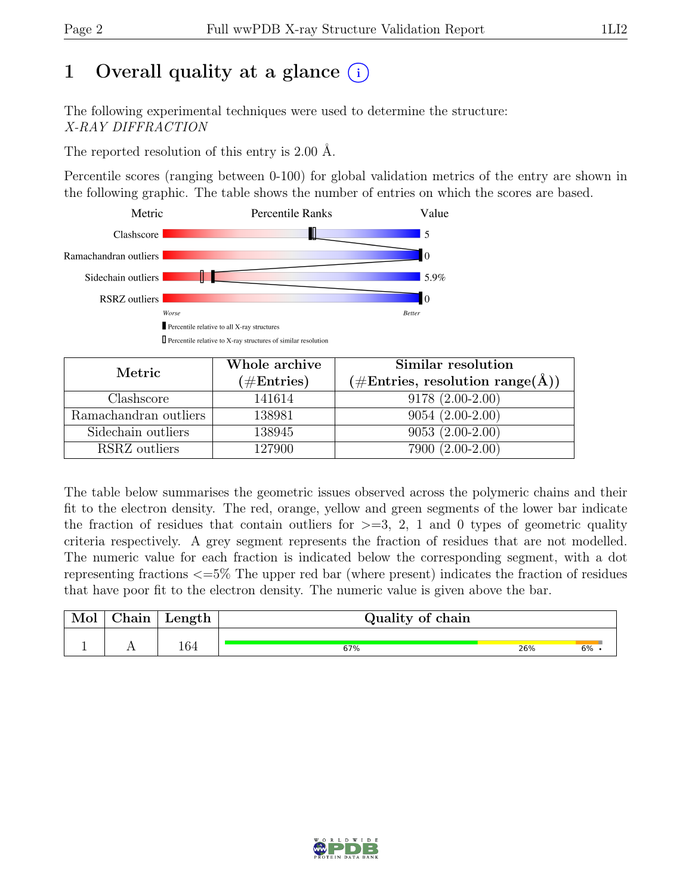# 1 Overall quality at a glance  $(i)$

The following experimental techniques were used to determine the structure: X-RAY DIFFRACTION

The reported resolution of this entry is 2.00 Å.

Percentile scores (ranging between 0-100) for global validation metrics of the entry are shown in the following graphic. The table shows the number of entries on which the scores are based.



| Metric                | Whole archive<br>$(\#\text{Entries})$ | Similar resolution<br>$(\# \text{Entries}, \text{ resolution range}(\text{A}))$ |
|-----------------------|---------------------------------------|---------------------------------------------------------------------------------|
| Clashscore            | 141614                                | $9178(2.00-2.00)$                                                               |
| Ramachandran outliers | 138981                                | $9054(2.00-2.00)$                                                               |
| Sidechain outliers    | 138945                                | $9053(2.00-2.00)$                                                               |
| RSRZ outliers         | 127900                                | 7900 (2.00-2.00)                                                                |

The table below summarises the geometric issues observed across the polymeric chains and their fit to the electron density. The red, orange, yellow and green segments of the lower bar indicate the fraction of residues that contain outliers for  $>=$  3, 2, 1 and 0 types of geometric quality criteria respectively. A grey segment represents the fraction of residues that are not modelled. The numeric value for each fraction is indicated below the corresponding segment, with a dot representing fractions <=5% The upper red bar (where present) indicates the fraction of residues that have poor fit to the electron density. The numeric value is given above the bar.

| Mol | $\mathrm{Chain}$ | Length | Quality of chain |     |    |  |  |  |
|-----|------------------|--------|------------------|-----|----|--|--|--|
|     |                  | 164    | 67%              | 26% | 6% |  |  |  |

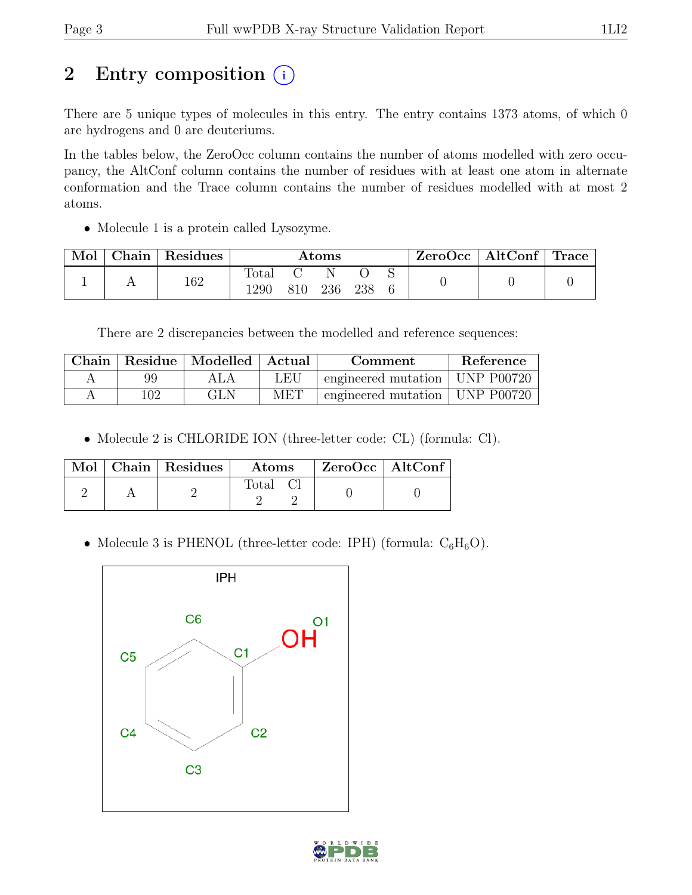# 2 Entry composition (i)

There are 5 unique types of molecules in this entry. The entry contains 1373 atoms, of which 0 are hydrogens and 0 are deuteriums.

In the tables below, the ZeroOcc column contains the number of atoms modelled with zero occupancy, the AltConf column contains the number of residues with at least one atom in alternate conformation and the Trace column contains the number of residues modelled with at most 2 atoms.

• Molecule 1 is a protein called Lysozyme.

| Mol | $\operatorname{\mathsf{Chain}}$ : | $\perp$ Residues | Atoms         |     |     | $ZeroOcc \mid AltConf \mid Trace$ |  |  |  |
|-----|-----------------------------------|------------------|---------------|-----|-----|-----------------------------------|--|--|--|
|     |                                   | 162              | Total<br>1290 | 810 | 236 | 238                               |  |  |  |

There are 2 discrepancies between the modelled and reference sequences:

|      | Chain   Residue   Modelled   Actual |     | Comment                          | Reference |
|------|-------------------------------------|-----|----------------------------------|-----------|
| 99   |                                     | LEU | engineered mutation   UNP P00720 |           |
| 102. | GLN                                 | MET | engineered mutation   UNP P00720 |           |

• Molecule 2 is CHLORIDE ION (three-letter code: CL) (formula: Cl).

|  | Mol   Chain   Residues | Atoms | $ZeroOcc$   AltConf |  |
|--|------------------------|-------|---------------------|--|
|  |                        | Total |                     |  |

• Molecule 3 is PHENOL (three-letter code: IPH) (formula:  $C_6H_6O$ ).



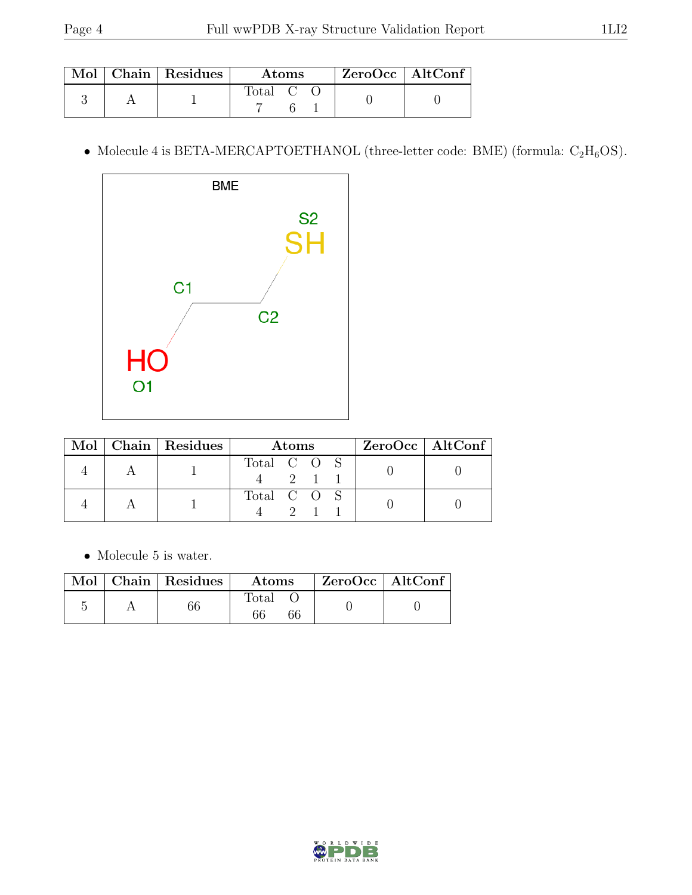|  | Mol   Chain   Residues | <b>Atoms</b> |  |  | $ZeroOcc \   \ AltConf \  $ |  |
|--|------------------------|--------------|--|--|-----------------------------|--|
|  |                        | Total C      |  |  |                             |  |

• Molecule 4 is BETA-MERCAPTOETHANOL (three-letter code: BME) (formula:  $C_2H_6OS$ ).



|  | Mol   Chain   Residues | Atoms       |  |     |  | $ZeroOcc \   \$ AltConf |
|--|------------------------|-------------|--|-----|--|-------------------------|
|  |                        | Total C O S |  | 2 1 |  |                         |
|  |                        | Total C O S |  |     |  |                         |

 $\bullet\,$  Molecule 5 is water.

|  | $\sqrt{\text{Mol}}$ Chain   Residues | $\boldsymbol{\mathrm{Atoms}}$ |  | ZeroOcc   AltConf |
|--|--------------------------------------|-------------------------------|--|-------------------|
|  |                                      | Total                         |  |                   |

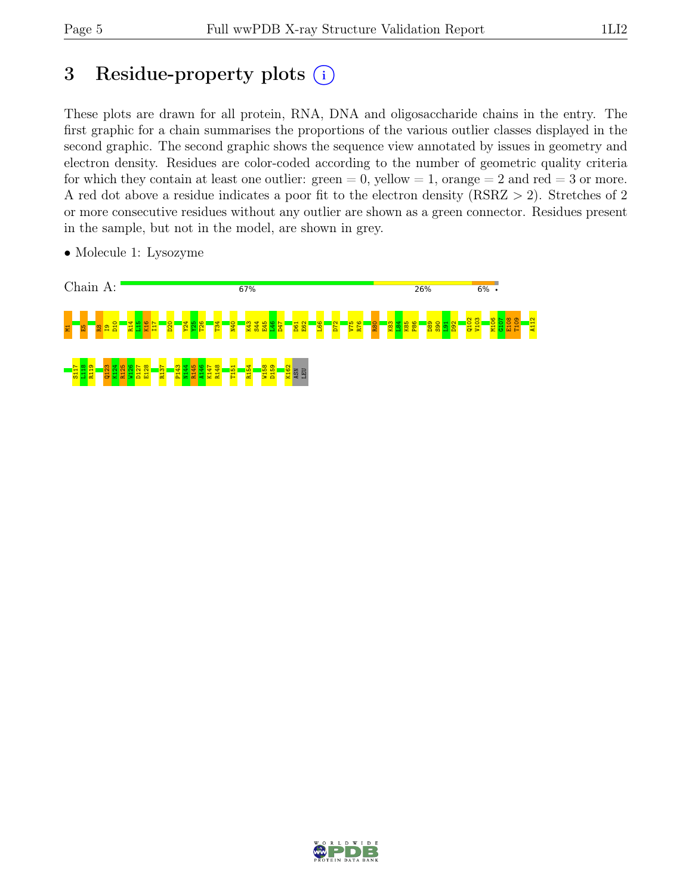# 3 Residue-property plots  $(i)$

These plots are drawn for all protein, RNA, DNA and oligosaccharide chains in the entry. The first graphic for a chain summarises the proportions of the various outlier classes displayed in the second graphic. The second graphic shows the sequence view annotated by issues in geometry and electron density. Residues are color-coded according to the number of geometric quality criteria for which they contain at least one outlier:  $green = 0$ , yellow  $= 1$ , orange  $= 2$  and red  $= 3$  or more. A red dot above a residue indicates a poor fit to the electron density (RSRZ > 2). Stretches of 2 or more consecutive residues without any outlier are shown as a green connector. Residues present in the sample, but not in the model, are shown in grey.



• Molecule 1: Lysozyme

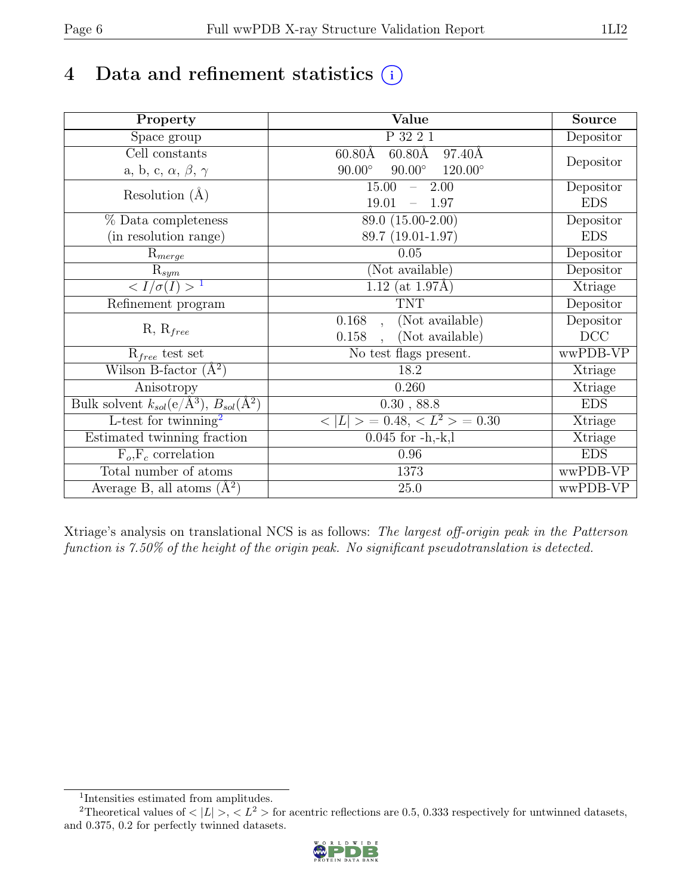# 4 Data and refinement statistics  $(i)$

| Property                                                             | Value                                            | Source     |
|----------------------------------------------------------------------|--------------------------------------------------|------------|
| $\overline{S}$ pace group                                            | P 32 2 1                                         | Depositor  |
| Cell constants                                                       | $60.80\text{\AA}$<br>97.40Å<br>$60.80\text{\AA}$ |            |
| a, b, c, $\alpha$ , $\beta$ , $\gamma$                               | $90.00^\circ$<br>$90.00^\circ$<br>$120.00^\circ$ | Depositor  |
| Resolution $(A)$                                                     | 15.00<br>2.00<br>$\equiv$ .                      | Depositor  |
|                                                                      | 19.01<br>1.97                                    | <b>EDS</b> |
| % Data completeness                                                  | 89.0 (15.00-2.00)                                | Depositor  |
| (in resolution range)                                                | 89.7 (19.01-1.97)                                | <b>EDS</b> |
| $R_{merge}$                                                          | 0.05                                             | Depositor  |
| $\mathrm{R}_{sym}$                                                   | (Not available)                                  | Depositor  |
| $\langle I/\sigma(I) \rangle$ <sup>1</sup>                           | 1.12 (at $1.97\text{\AA}$ )                      | Xtriage    |
| Refinement program                                                   | <b>TNT</b>                                       | Depositor  |
|                                                                      | 0.168<br>(Not available)<br>$\ddot{\phantom{a}}$ | Depositor  |
| $R, R_{free}$                                                        | (Not available)<br>0.158                         | DCC        |
| $R_{free}$ test set                                                  | No test flags present.                           | wwPDB-VP   |
| Wilson B-factor $(A^2)$                                              | 18.2                                             | Xtriage    |
| Anisotropy                                                           | 0.260                                            | Xtriage    |
| Bulk solvent $k_{sol}(e/\mathring{A}^3)$ , $B_{sol}(\mathring{A}^2)$ | 0.30, 88.8                                       | <b>EDS</b> |
| L-test for twinning <sup>2</sup>                                     | $< L >$ = 0.48, $< L^2 >$ = 0.30                 | Xtriage    |
| Estimated twinning fraction                                          | $0.045$ for $-h,-k,l$                            | Xtriage    |
| $F_o, F_c$ correlation                                               | 0.96                                             | <b>EDS</b> |
| Total number of atoms                                                | 1373                                             | wwPDB-VP   |
| Average B, all atoms $(A^2)$                                         | $25.0\,$                                         | wwPDB-VP   |

Xtriage's analysis on translational NCS is as follows: The largest off-origin peak in the Patterson function is 7.50% of the height of the origin peak. No significant pseudotranslation is detected.

<sup>&</sup>lt;sup>2</sup>Theoretical values of  $\langle |L| \rangle$ ,  $\langle L^2 \rangle$  for acentric reflections are 0.5, 0.333 respectively for untwinned datasets, and 0.375, 0.2 for perfectly twinned datasets.



<span id="page-5-1"></span><span id="page-5-0"></span><sup>1</sup> Intensities estimated from amplitudes.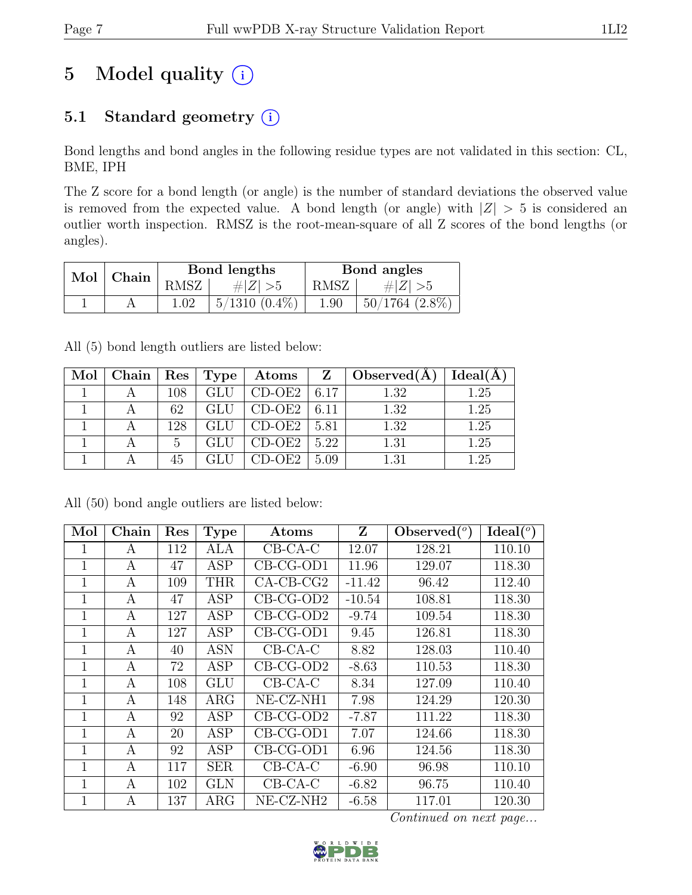# 5 Model quality  $(i)$

## 5.1 Standard geometry (i)

Bond lengths and bond angles in the following residue types are not validated in this section: CL, BME, IPH

The Z score for a bond length (or angle) is the number of standard deviations the observed value is removed from the expected value. A bond length (or angle) with  $|Z| > 5$  is considered an outlier worth inspection. RMSZ is the root-mean-square of all Z scores of the bond lengths (or angles).

| Mol | Chain |          | Bond lengths    | Bond angles |                     |  |
|-----|-------|----------|-----------------|-------------|---------------------|--|
|     |       | RMSZ     | # $ Z  > 5$     | RMSZ        | $\# Z $             |  |
|     |       | $1.02\,$ | $5/1310(0.4\%)$ | 1.90        | $50/1764$ $(2.8\%)$ |  |

All (5) bond length outliers are listed below:

| Mol | ⊥ Chain <sup>+</sup> |     | $ $ Res $ $ Type $ $ | $\bold{Atoms}$  | $\mathbf{Z}$       | $\big $ Observed $(A)$ | Ideal(A) |
|-----|----------------------|-----|----------------------|-----------------|--------------------|------------------------|----------|
|     |                      | 108 | <b>GLU</b>           | $CD-OE2$   6.17 |                    | 1.32                   | 1.25     |
|     |                      | 62  | GLU                  | $CD-OE2$ 6.11   |                    | 1.32                   | 1.25     |
|     |                      | 128 | GLU                  | $CD-OE2$        | 5.81               | 1.32                   | 1.25     |
|     |                      | 5   | GLU                  | $CD-OE2$        | $\vert 5.22 \vert$ | 1.31                   | 1.25     |
|     |                      | 45  |                      | CD-OE2          | 5.09               | 1.31                   | 1.25     |

| Mol         | Chain            | Res | <b>Type</b> | Atoms          | Z        | Observed $({}^o)$ | Ideal(°) |
|-------------|------------------|-----|-------------|----------------|----------|-------------------|----------|
| 1           | А                | 112 | <b>ALA</b>  | $CB-CA-C$      | 12.07    | 128.21            | 110.10   |
| 1           | А                | 47  | <b>ASP</b>  | $CB-CG-OD1$    | 11.96    | 129.07            | 118.30   |
| $\mathbf 1$ | A                | 109 | <b>THR</b>  | $CA$ -CB-CG2   | $-11.42$ | 96.42             | 112.40   |
| 1           | А                | 47  | <b>ASP</b>  | $CB-CG-OD2$    | $-10.54$ | 108.81            | 118.30   |
| 1           | A                | 127 | <b>ASP</b>  | CB-CG-OD2      | $-9.74$  | 109.54            | 118.30   |
| 1           | $\boldsymbol{A}$ | 127 | <b>ASP</b>  | $CB-CG-OD1$    | 9.45     | 126.81            | 118.30   |
| $\mathbf 1$ | A                | 40  | <b>ASN</b>  | $CB-CA-C$      | 8.82     | 128.03            | 110.40   |
| $\mathbf 1$ | А                | 72  | <b>ASP</b>  | $CB-CG-OD2$    | $-8.63$  | 110.53            | 118.30   |
| 1           | A                | 108 | <b>GLU</b>  | $CB-CA-C$      | 8.34     | 127.09            | 110.40   |
| 1           | A                | 148 | ARG         | $NE- CZ- N H1$ | 7.98     | 124.29            | 120.30   |
| 1           | A                | 92  | <b>ASP</b>  | $CB-CG-OD2$    | $-7.87$  | 111.22            | 118.30   |
| $\mathbf 1$ | А                | 20  | <b>ASP</b>  | CB-CG-OD1      | 7.07     | 124.66            | 118.30   |
| 1           | А                | 92  | <b>ASP</b>  | CB-CG-OD1      | 6.96     | 124.56            | 118.30   |
| $\mathbf 1$ | A                | 117 | <b>SER</b>  | $CB-CA-C$      | $-6.90$  | 96.98             | 110.10   |
| 1           | A                | 102 | <b>GLN</b>  | $CB-CA-C$      | $-6.82$  | 96.75             | 110.40   |
| $\mathbf 1$ | А                | 137 | $\rm{ARG}$  | NE-CZ-NH2      | $-6.58$  | 117.01            | 120.30   |

All (50) bond angle outliers are listed below:

Continued on next page...

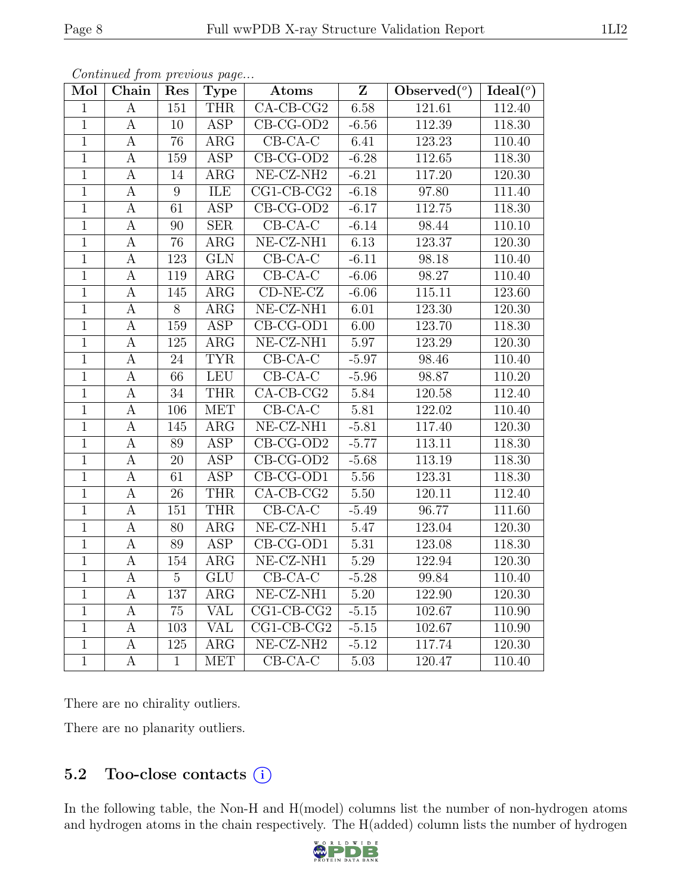| Mol            | Chain            | Res              | Type                    | $\overline{\mathbf{Z}}$<br>Atoms |                   | $\mathrm{Observed}(^o)$ | Ideal(°) |
|----------------|------------------|------------------|-------------------------|----------------------------------|-------------------|-------------------------|----------|
| $\mathbf{1}$   | $\boldsymbol{A}$ | 151              | <b>THR</b>              | $CA-CB-CG2$                      | 6.58              | 121.61                  | 112.40   |
| $\mathbf{1}$   | А                | 10               | <b>ASP</b>              | $CB-CG-OD2$                      | $-6.56$           | 112.39                  | 118.30   |
| $\mathbf{1}$   | $\boldsymbol{A}$ | 76               | $\overline{\text{ARG}}$ | $CB-CA-C$                        | 6.41              | 123.23                  | 110.40   |
| $\mathbf{1}$   | $\boldsymbol{A}$ | 159              | $\overline{\text{ASP}}$ | $CB-CG-OD2$                      | $-6.28$           | 112.65                  | 118.30   |
| $\overline{1}$ | A                | 14               | $\overline{\text{ARG}}$ | $NE- CZ-NH2$                     | $-6.21$           | 117.20                  | 120.30   |
| $\overline{1}$ | $\boldsymbol{A}$ | $\overline{9}$   | ILE                     | $CG1-CB-CG2$                     | $-6.18$           | 97.80                   | 111.40   |
| $\mathbf{1}$   | A                | $\overline{61}$  | <b>ASP</b>              | $CB-CG-OD2$                      | $-6.17$           | 112.75                  | 118.30   |
| $\overline{1}$ | $\boldsymbol{A}$ | $90\,$           | SER                     | $CB-CA-C$                        | $-6.14$           | 98.44                   | 110.10   |
| $\overline{1}$ | А                | 76               | $\overline{\text{ARG}}$ | $NE- CZ- NH1$                    | 6.13              | 123.37                  | 120.30   |
| $\overline{1}$ | A                | $\overline{123}$ | GLN                     | $CB-CA-C$                        | $-6.11$           | 98.18                   | 110.40   |
| $\mathbf{1}$   | $\boldsymbol{A}$ | 119              | $\overline{\text{ARG}}$ | $CB-CA-C$                        | $-6.06$           | 98.27                   | 110.40   |
| $\mathbf{1}$   | А                | 145              | $\rm{ARG}$              | $CD-NE-CZ$                       | $-6.06$           | 115.11                  | 123.60   |
| $\overline{1}$ | $\overline{A}$   | $\overline{8}$   | $\rm{ARG}$              | $NE- CZ- NH1$                    | 6.01              | 123.30                  | 120.30   |
| $\overline{1}$ | $\boldsymbol{A}$ | 159              | <b>ASP</b>              | $CB-CG-OD1$                      | 6.00              | 123.70                  | 118.30   |
| $\overline{1}$ | $\boldsymbol{A}$ | $\overline{125}$ | $\rm{ARG}$              | $NE- CZ- NH1$                    | 5.97              | 123.29                  | 120.30   |
| $\overline{1}$ | $\boldsymbol{A}$ | 24               | <b>TYR</b>              | $CB-CA-C$                        | $-5.97$           | 98.46                   | 110.40   |
| $\overline{1}$ | $\boldsymbol{A}$ | $\overline{66}$  | <b>LEU</b>              | $CB-CA-C$                        | $-5.96$           | 98.87                   | 110.20   |
| $\mathbf{1}$   | $\boldsymbol{A}$ | 34               | <b>THR</b>              | $CA$ -CB-CG2                     | 5.84              | $\overline{120.58}$     | 112.40   |
| $\mathbf{1}$   | $\boldsymbol{A}$ | 106              | MET                     | $CB-CA-C$                        | $5.81\,$          | 122.02                  | 110.40   |
| $\overline{1}$ | А                | 145              | $\overline{\text{ARG}}$ | $NE- CZ-NH1$                     | $-5.81$           | 117.40                  | 120.30   |
| $\mathbf{1}$   | А                | 89               | <b>ASP</b>              | $CB-CG-OD2$                      | $-5.77$           | 113.11                  | 118.30   |
| $\overline{1}$ | $\boldsymbol{A}$ | $\overline{20}$  | <b>ASP</b>              | $CB-CG-OD2$                      | $-5.68$           | 113.19                  | 118.30   |
| $\overline{1}$ | А                | $\overline{61}$  | <b>ASP</b>              | $CB-CG-OD1$                      | 5.56              | 123.31                  | 118.30   |
| $\overline{1}$ | $\boldsymbol{A}$ | 26               | <b>THR</b>              | $CA-CB-CG2$                      | $\overline{5.50}$ | 120.11                  | 112.40   |
| $\overline{1}$ | $\boldsymbol{A}$ | 151              | <b>THR</b>              | $CB-CA-C$                        | $-5.49$           | 96.77                   | 111.60   |
| $\mathbf{1}$   | А                | 80               | $\rm{ARG}$              | $NE- CZ- NH1$                    | 5.47              | 123.04                  | 120.30   |
| $\overline{1}$ | $\overline{A}$   | 89               | $\overline{\text{ASP}}$ | $CB-CG-OD1$                      | $\overline{5.31}$ | 123.08                  | 118.30   |
| $\mathbf{1}$   | $\boldsymbol{A}$ | 154              | $\rm{ARG}$              | $NE- CZ- NH1$                    | 5.29              | 122.94                  | 120.30   |
| $\overline{1}$ | $\boldsymbol{A}$ | $\overline{5}$   | GLU                     | $CB-CA-C$                        | $-5.28$           | 99.84                   | 110.40   |
| $\mathbf 1$    | $\boldsymbol{A}$ | 137              | $\rm{ARG}$              | $NE- CZ- NH1$                    | $5.20\,$          | 122.90                  | 120.30   |
| $\overline{1}$ | A                | 75               | <b>VAL</b>              | $CG1-CB-CG2$                     | $-5.15$           | 102.67                  | 110.90   |
| $\mathbf{1}$   | $\boldsymbol{A}$ | 103              | $\overline{\text{VAL}}$ | $CG1-CB-CG2$                     | $-5.15$           | 102.67                  | 110.90   |
| $\overline{1}$ | $\boldsymbol{A}$ | 125              | $\rm{ARG}$              | $NE- CZ-NH2$                     | $-5.12$           | 117.74                  | 120.30   |
| $\overline{1}$ | $\overline{A}$   | $\overline{1}$   | <b>MET</b>              | $CB-CA-C$                        | 5.03              | 120.47                  | 110.40   |

Continued from previous page...

There are no chirality outliers.

There are no planarity outliers.

#### 5.2 Too-close contacts  $(i)$

In the following table, the Non-H and H(model) columns list the number of non-hydrogen atoms and hydrogen atoms in the chain respectively. The H(added) column lists the number of hydrogen

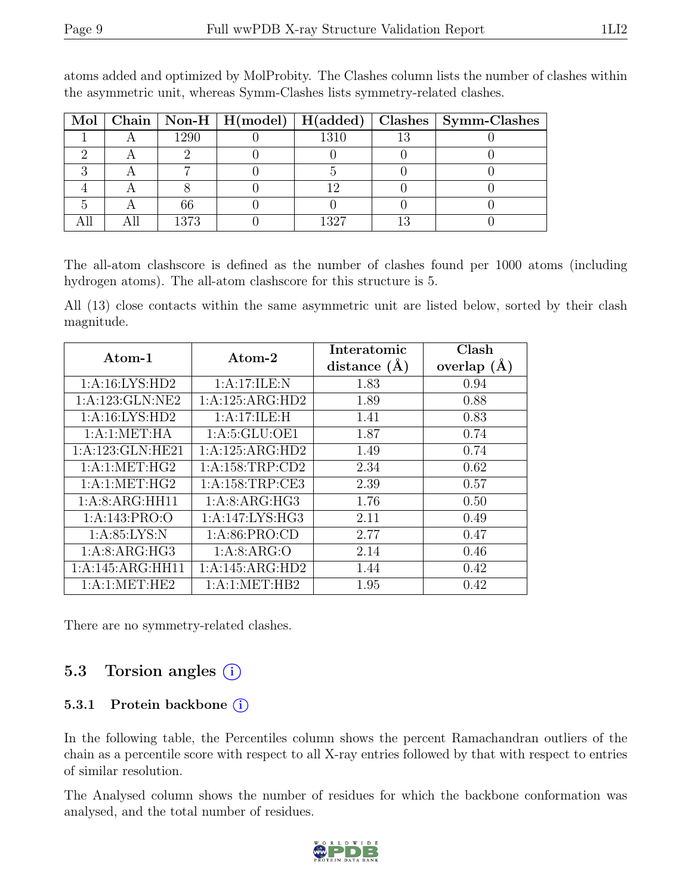|  |      |      |     | Mol   Chain   Non-H   H(model)   H(added)   Clashes   Symm-Clashes |
|--|------|------|-----|--------------------------------------------------------------------|
|  | 1290 | 1310 |     |                                                                    |
|  |      |      |     |                                                                    |
|  |      |      |     |                                                                    |
|  |      |      |     |                                                                    |
|  | 66   |      |     |                                                                    |
|  | 1373 | 1327 | 1 ก |                                                                    |

atoms added and optimized by MolProbity. The Clashes column lists the number of clashes within the asymmetric unit, whereas Symm-Clashes lists symmetry-related clashes.

The all-atom clashscore is defined as the number of clashes found per 1000 atoms (including hydrogen atoms). The all-atom clashscore for this structure is 5.

All (13) close contacts within the same asymmetric unit are listed below, sorted by their clash magnitude.

| $\rm{Atom}\text{-}1$ | $\rm{Atom}\text{-}2$ | Interatomic    | Clash         |
|----------------------|----------------------|----------------|---------------|
|                      |                      | distance $(A)$ | overlap $(A)$ |
| 1:A:16:LYS:HD2       | 1:A:17:ILE:N         | 1.83           | 0.94          |
| 1:A:123:GLN:NE2      | 1:A:125:ARG:HD2      | 1.89           | 0.88          |
| 1:A:16:LYS:HD2       | 1:A:17:ILE:H         | 1.41           | 0.83          |
| 1: A:1: MET:HA       | 1: A:5: GLU:OE1      | 1.87           | 0.74          |
| 1: A: 123: GLN: HE21 | 1:A:125:ARG:HD2      | 1.49           | 0.74          |
| 1:A:1:MET:HG2        | 1: A: 158: TRP: CD2  | 2.34           | 0.62          |
| 1: A:1: MET:HG2      | 1: A: 158: TRP: CE3  | 2.39           | 0.57          |
| 1:A:8:ARG:HH11       | 1:A:8:ARG:HG3        | 1.76           | 0.50          |
| 1: A:143: PRO:O      | 1:A:147:LYS:HG3      | 2.11           | 0.49          |
| 1: A:85:LYS:N        | 1: A:86: PRO:CD      | 2.77           | 0.47          |
| 1:A:8:ARG:HG3        | 1: A:8: ARG:O        | 2.14           | 0.46          |
| 1:A:145:ARG:HH11     | 1:A:145:ARG:HD2      | 1.44           | 0.42          |
| 1:A:1:MET:HE2        | 1:A:1:MET:HB2        | 1.95           | 0.42          |

There are no symmetry-related clashes.

### 5.3 Torsion angles  $(i)$

#### 5.3.1 Protein backbone  $(i)$

In the following table, the Percentiles column shows the percent Ramachandran outliers of the chain as a percentile score with respect to all X-ray entries followed by that with respect to entries of similar resolution.

The Analysed column shows the number of residues for which the backbone conformation was analysed, and the total number of residues.

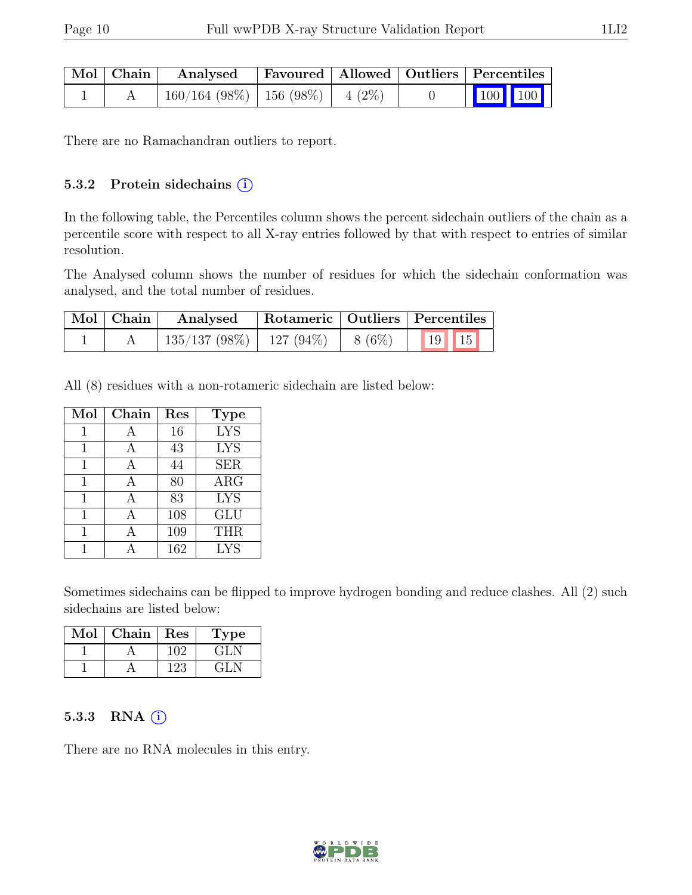| Mol   Chain | Analysed                             | Favoured   Allowed   Outliers   Percentiles |  |         |  |
|-------------|--------------------------------------|---------------------------------------------|--|---------|--|
|             | $160/164$ (98%)   156 (98%)   4 (2%) |                                             |  | 100 100 |  |

There are no Ramachandran outliers to report.

#### 5.3.2 Protein sidechains (i)

In the following table, the Percentiles column shows the percent sidechain outliers of the chain as a percentile score with respect to all X-ray entries followed by that with respect to entries of similar resolution.

The Analysed column shows the number of residues for which the sidechain conformation was analysed, and the total number of residues.

| $\mid$ Mol $\mid$ Chain $\mid$ | Analysed   Rotameric   Outliers   Percentiles     |  |  |  |
|--------------------------------|---------------------------------------------------|--|--|--|
|                                | $\mid$ 135/137 (98%)   127 (94%)   8 (6%)   19 15 |  |  |  |

All (8) residues with a non-rotameric sidechain are listed below:

| Mol | Chain | Res | Type       |
|-----|-------|-----|------------|
|     |       | 16  | <b>LYS</b> |
|     |       | 43  | <b>LYS</b> |
|     |       | 44  | <b>SER</b> |
| 1   | A     | 80  | ARG        |
| 1   | А     | 83  | <b>LYS</b> |
| 1   |       | 108 | <b>GLU</b> |
|     |       | 109 | <b>THR</b> |
|     |       | 162 | <b>LYS</b> |

Sometimes sidechains can be flipped to improve hydrogen bonding and reduce clashes. All (2) such sidechains are listed below:

| Mol | Chain | Res | L'ype |
|-----|-------|-----|-------|
|     |       |     |       |
|     |       |     |       |

#### 5.3.3 RNA  $(i)$

There are no RNA molecules in this entry.

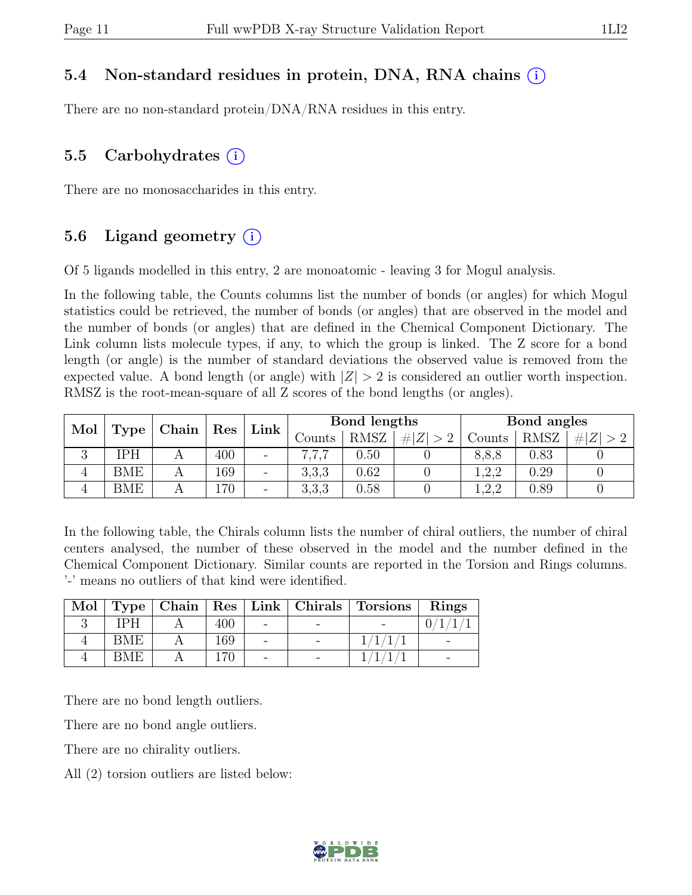#### 5.4 Non-standard residues in protein, DNA, RNA chains (i)

There are no non-standard protein/DNA/RNA residues in this entry.

#### 5.5 Carbohydrates  $(i)$

There are no monosaccharides in this entry.

#### 5.6 Ligand geometry  $(i)$

Of 5 ligands modelled in this entry, 2 are monoatomic - leaving 3 for Mogul analysis.

In the following table, the Counts columns list the number of bonds (or angles) for which Mogul statistics could be retrieved, the number of bonds (or angles) that are observed in the model and the number of bonds (or angles) that are defined in the Chemical Component Dictionary. The Link column lists molecule types, if any, to which the group is linked. The Z score for a bond length (or angle) is the number of standard deviations the observed value is removed from the expected value. A bond length (or angle) with  $|Z| > 2$  is considered an outlier worth inspection. RMSZ is the root-mean-square of all Z scores of the bond lengths (or angles).

| Mol            | Type       | Chain | $\operatorname{Res}$ |                          | Bond lengths<br>Link |             |                  | Bond angles |             |             |
|----------------|------------|-------|----------------------|--------------------------|----------------------|-------------|------------------|-------------|-------------|-------------|
|                |            |       |                      |                          | Counts               | <b>RMSZ</b> | $\# Z  > 2^{-1}$ | Counts      | <b>RMSZ</b> | # $ Z  > 2$ |
| $\Omega$<br>۰J | ſРH        |       | 400                  | $\overline{\phantom{a}}$ |                      | 0.50        |                  | 8,8,8       | 0.83        |             |
| 4              | <b>BME</b> |       | 169                  | $\overline{\phantom{m}}$ | 3,3,3                | 0.62        |                  | .2.2        | 0.29        |             |
| 4              | <b>BME</b> |       | 70                   | $\qquad \qquad -$        | 3,3,3                | 0.58        |                  | 1,2,2       | 0.89        |             |

In the following table, the Chirals column lists the number of chiral outliers, the number of chiral centers analysed, the number of these observed in the model and the number defined in the Chemical Component Dictionary. Similar counts are reported in the Torsion and Rings columns. '-' means no outliers of that kind were identified.

| Mol |      |     |  | Type   Chain   Res   Link   Chirals   Torsions | Rings |
|-----|------|-----|--|------------------------------------------------|-------|
|     | IPH  | 400 |  |                                                |       |
|     | BME  | 169 |  |                                                |       |
|     | RMF. | 170 |  |                                                |       |

There are no bond length outliers.

There are no bond angle outliers.

There are no chirality outliers.

All (2) torsion outliers are listed below:

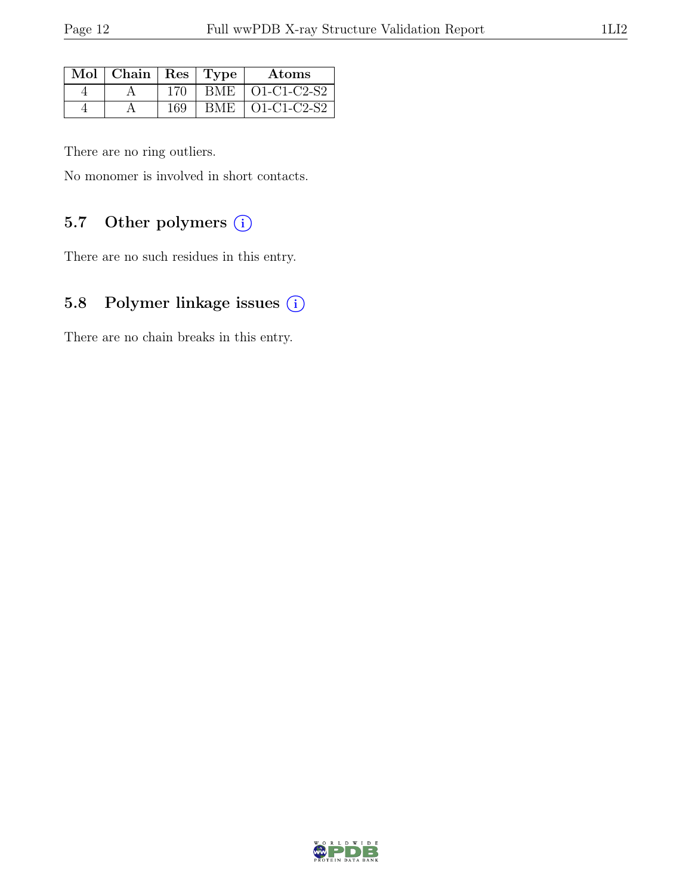| Mol   Chain   Res   Type |     | Atoms                           |
|--------------------------|-----|---------------------------------|
|                          | 170 | BME   O1-C1-C2-S2               |
|                          | 169 | BME $\vert$ O1-C1-C2-S2 $\vert$ |

There are no ring outliers.

No monomer is involved in short contacts.

### 5.7 Other polymers (i)

There are no such residues in this entry.

## 5.8 Polymer linkage issues (i)

There are no chain breaks in this entry.